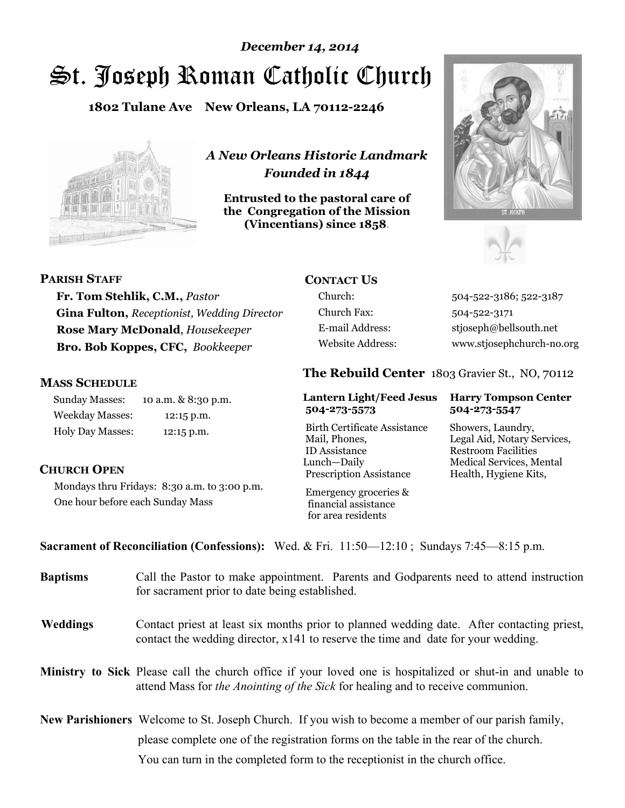# St. Joseph Roman Catholic Church *December 14, 2014*

**1802 Tulane Ave New Orleans, LA 70112-2246**



*A New Orleans Historic Landmark Founded in 1844* 

**Entrusted to the pastoral care of the Congregation of the Mission (Vincentians) since 1858**.





#### **PARISH STAFF**

**Fr. Tom Stehlik, C.M.,** *Pastor*  **Gina Fulton,** *Receptionist, Wedding Director* **Rose Mary McDonald**, *Housekeeper*  **Bro. Bob Koppes, CFC,** *Bookkeeper* 

#### **MASS SCHEDULE**

Sunday Masses: 10 a.m. & 8:30 p.m. Weekday Masses: 12:15 p.m. Holy Day Masses: 12:15 p.m.

## **CONTACT US**

Church Fax: 504-522-3171

Church: 504-522-3186; 522-3187 E-mail Address: stjoseph@bellsouth.net Website Address: www.stjosephchurch-no.org

#### **The Rebuild Center** 1803 Gravier St., NO, 70112

#### **Lantern Light/Feed Jesus Harry Tompson Center 504-273-5573 504-273-5547**

Birth Certificate Assistance Showers, Laundry, Mail, Phones, Legal Aid, Notary Services, ID Assistance Restroom Facilities Lunch—Daily Medical Services, Mental Prescription Assistance Health, Hygiene Kits,

#### **CHURCH OPEN**

Mondays thru Fridays: 8:30 a.m. to 3:00 p.m. One hour before each Sunday Mass

 Emergency groceries & financial assistance for area residents

### **Sacrament of Reconciliation (Confessions):** Wed. & Fri. 11:50—12:10 ; Sundays 7:45—8:15 p.m.

| <b>Baptisms</b> | Call the Pastor to make appointment. Parents and Godparents need to attend instruction<br>for sacrament prior to date being established.                                                            |
|-----------------|-----------------------------------------------------------------------------------------------------------------------------------------------------------------------------------------------------|
| Weddings        | Contact priest at least six months prior to planned wedding date. After contacting priest,<br>contact the wedding director, $x141$ to reserve the time and date for your wedding.                   |
|                 | <b>Ministry to Sick</b> Please call the church office if your loved one is hospitalized or shut-in and unable to<br>attend Mass for the Anointing of the Sick for healing and to receive communion. |
|                 | <b>New Parishioners</b> Welcome to St. Joseph Church. If you wish to become a member of our parish family,<br>please complete one of the registration forms on the table in the rear of the church. |
|                 | You can turn in the completed form to the receptionist in the church office.                                                                                                                        |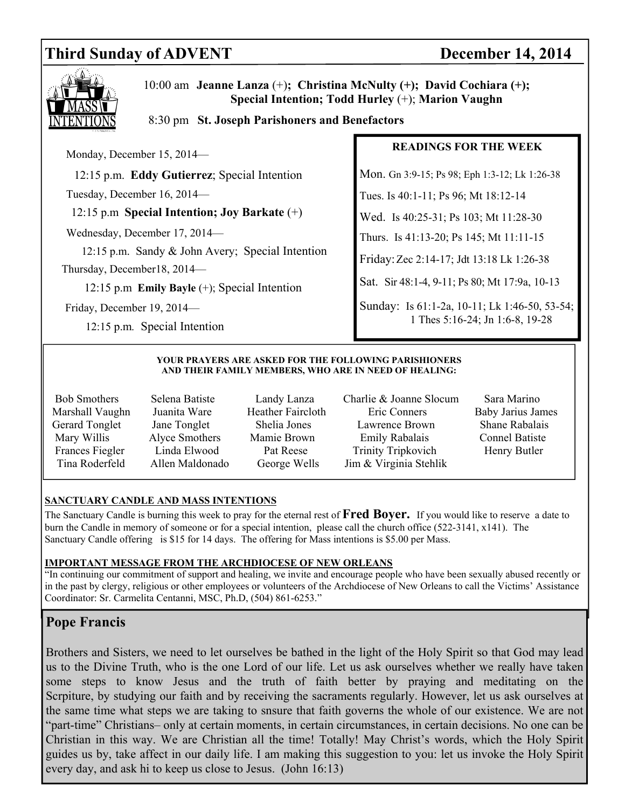## Third Sunday of ADVENT December 14, 2014



 10:00 am **Jeanne Lanza** (+)**; Christina McNulty (+); David Cochiara (+); Special Intention; Todd Hurley** (+); **Marion Vaughn** 

#### 8:30 pm **St. Joseph Parishoners and Benefactors**

Monday, December 15, 2014—

12:15 p.m. **Eddy Gutierrez**; Special Intention

Tuesday, December 16, 2014—

12:15 p.m **Special Intention; Joy Barkate** (+)

Wednesday, December 17, 2014—

 12:15 p.m. Sandy & John Avery; Special Intention Thursday, December18, 2014—

12:15 p.m **Emily Bayle** (+); Special Intention

Friday, December 19, 2014—

12:15 p.m*.* Special Intention

#### **READINGS FOR THE WEEK**

Mon. Gn 3:9-15; Ps 98; Eph 1:3-12; Lk 1:26-38

Tues. Is 40:1-11; Ps 96; Mt 18:12-14

Wed. Is 40:25-31; Ps 103; Mt 11:28-30

Thurs. Is 41:13-20; Ps 145; Mt 11:11-15

Friday: Zec 2:14-17; Jdt 13:18 Lk 1:26-38

Sat. Sir 48:1-4, 9-11; Ps 80; Mt 17:9a, 10-13

Sunday: Is 61:1-2a, 10-11; Lk 1:46-50, 53-54; 1 Thes 5:16-24; Jn 1:6-8, 19-28

#### **YOUR PRAYERS ARE ASKED FOR THE FOLLOWING PARISHIONERS AND THEIR FAMILY MEMBERS, WHO ARE IN NEED OF HEALING:**

- 
- 
- Bob Smothers Selena Batiste Landy Lanza Charlie & Joanne Slocum Sara Marino Marshall Vaughn Juanita Ware Heather Faircloth Eric Conners Baby Jarius James Gerard Tonglet Jane Tonglet Shelia Jones Lawrence Brown Shane Rabalais Mary Willis Alyce Smothers Mamie Brown Emily Rabalais Connel Batiste Frances Fiegler Linda Elwood Pat Reese Trinity Tripkovich Henry Butler Tina Roderfeld Allen Maldonado George Wells Jim & Virginia Stehlik
	-

#### **SANCTUARY CANDLE AND MASS INTENTIONS**

The Sanctuary Candle is burning this week to pray for the eternal rest of **Fred Boyer.** If you would like to reserve a date to burn the Candle in memory of someone or for a special intention, please call the church office (522-3141, x141). The Sanctuary Candle offering is \$15 for 14 days. The offering for Mass intentions is \$5.00 per Mass.

#### **IMPORTANT MESSAGE FROM THE ARCHDIOCESE OF NEW ORLEANS**

"In continuing our commitment of support and healing, we invite and encourage people who have been sexually abused recently or in the past by clergy, religious or other employees or volunteers of the Archdiocese of New Orleans to call the Victims' Assistance Coordinator: Sr. Carmelita Centanni, MSC, Ph.D, (504) 861-6253."

## **Pope Francis**

Brothers and Sisters, we need to let ourselves be bathed in the light of the Holy Spirit so that God may lead us to the Divine Truth, who is the one Lord of our life. Let us ask ourselves whether we really have taken some steps to know Jesus and the truth of faith better by praying and meditating on the Scrpiture, by studying our faith and by receiving the sacraments regularly. However, let us ask ourselves at the same time what steps we are taking to snsure that faith governs the whole of our existence. We are not "part-time" Christians– only at certain moments, in certain circumstances, in certain decisions. No one can be Christian in this way. We are Christian all the time! Totally! May Christ's words, which the Holy Spirit guides us by, take affect in our daily life. I am making this suggestion to you: let us invoke the Holy Spirit every day, and ask hi to keep us close to Jesus. (John 16:13)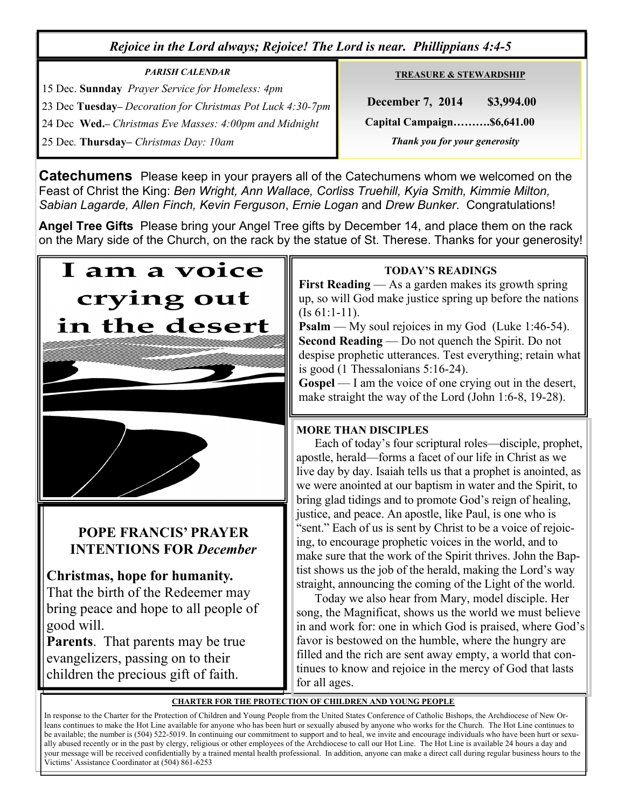## *Rejoice in the Lord always; Rejoice! The Lord is near. Phillippians 4:4-5*

## *PARISH CALENDAR*  15 Dec. **Sunnday** *Prayer Service for Homeless: 4pm*  23 Dec **Tuesday–** *Decoration for Christmas Pot Luck 4:30-7pm*  24 Dec **Wed.–** *Christmas Eve Masses: 4:00pm and Midnight* 25 Dec*.* **Thursday–** *Christmas Day: 10am*

**TREASURE & STEWARDSHIP**

 **December 7, 2014 \$3,994.00 Capital Campaign……….\$6,641.00**   *Thank you for your generosity* 

**Catechumens** Please keep in your prayers all of the Catechumens whom we welcomed on the Feast of Christ the King: *Ben Wright, Ann Wallace, Corliss Truehill, Kyia Smith, Kimmie Milton, Sabian Lagarde, Allen Finch, Kevin Ferguson*, *Ernie Logan* and *Drew Bunker*. Congratulations!

**Angel Tree Gifts** Please bring your Angel Tree gifts by December 14, and place them on the rack on the Mary side of the Church, on the rack by the statue of St. Therese. Thanks for your generosity!



## **POPE FRANCIS' PRAYER INTENTIONS FOR** *December*

## **Christmas, hope for humanity.**

That the birth of the Redeemer may bring peace and hope to all people of good will.

**Parents**. That parents may be true evangelizers, passing on to their children the precious gift of faith.

### **TODAY'S READINGS**

**First Reading** — As a garden makes its growth spring up, so will God make justice spring up before the nations (Is 61:1-11).

**Psalm** — My soul rejoices in my God (Luke 1:46-54). **Second Reading** — Do not quench the Spirit. Do not despise prophetic utterances. Test everything; retain what is good (1 Thessalonians 5:16-24).

**Gospel** — I am the voice of one crying out in the desert, make straight the way of the Lord (John 1:6-8, 19-28).

## **MORE THAN DISCIPLES**

Each of today's four scriptural roles—disciple, prophet, apostle, herald—forms a facet of our life in Christ as we live day by day. Isaiah tells us that a prophet is anointed, as we were anointed at our baptism in water and the Spirit, to bring glad tidings and to promote God's reign of healing, justice, and peace. An apostle, like Paul, is one who is "sent." Each of us is sent by Christ to be a voice of rejoicing, to encourage prophetic voices in the world, and to make sure that the work of the Spirit thrives. John the Baptist shows us the job of the herald, making the Lord's way straight, announcing the coming of the Light of the world.

 Today we also hear from Mary, model disciple. Her song, the Magnificat, shows us the world we must believe in and work for: one in which God is praised, where God's favor is bestowed on the humble, where the hungry are filled and the rich are sent away empty, a world that continues to know and rejoice in the mercy of God that lasts for all ages.

#### **CHARTER FOR THE PROTECTION OF CHILDREN AND YOUNG PEOPLE**

In response to the Charter for the Protection of Children and Young People from the United States Conference of Catholic Bishops, the Archdiocese of New Orleans continues to make the Hot Line available for anyone who has been hurt or sexually abused by anyone who works for the Church. The Hot Line continues to be available; the number is (504) 522-5019. In continuing our commitment to support and to heal, we invite and encourage individuals who have been hurt or sexually abused recently or in the past by clergy, religious or other employees of the Archdiocese to call our Hot Line. The Hot Line is available 24 hours a day and your message will be received confidentially by a trained mental health professional. In addition, anyone can make a direct call during regular business hours to the Victims' Assistance Coordinator at (504) 861-6253